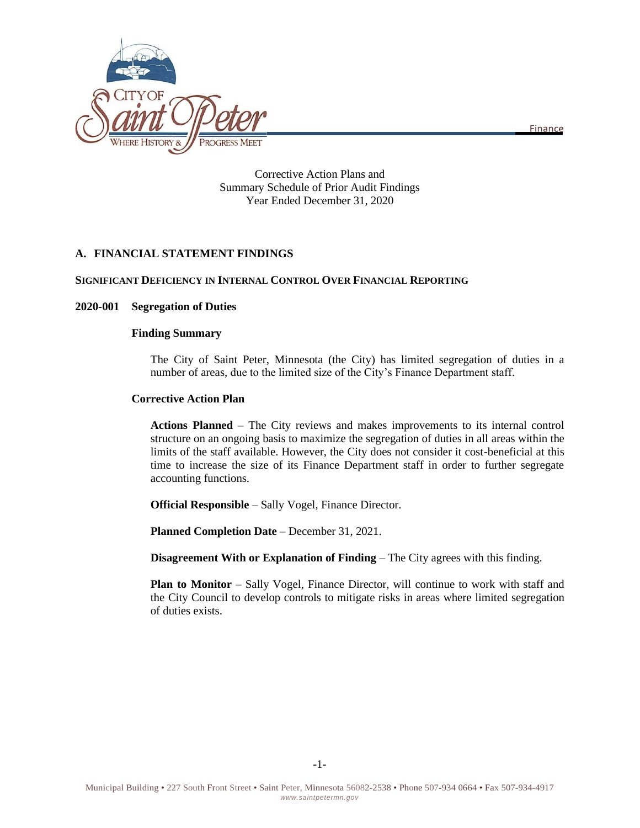Finance



Corrective Action Plans and Summary Schedule of Prior Audit Findings Year Ended December 31, 2020

# **A. FINANCIAL STATEMENT FINDINGS**

## **SIGNIFICANT DEFICIENCY IN INTERNAL CONTROL OVER FINANCIAL REPORTING**

## **2020-001 Segregation of Duties**

### **Finding Summary**

The City of Saint Peter, Minnesota (the City) has limited segregation of duties in a number of areas, due to the limited size of the City's Finance Department staff.

## **Corrective Action Plan**

**Actions Planned** – The City reviews and makes improvements to its internal control structure on an ongoing basis to maximize the segregation of duties in all areas within the limits of the staff available. However, the City does not consider it cost-beneficial at this time to increase the size of its Finance Department staff in order to further segregate accounting functions.

**Official Responsible** – Sally Vogel, Finance Director.

**Planned Completion Date** – December 31, 2021.

**Disagreement With or Explanation of Finding** – The City agrees with this finding.

**Plan to Monitor** – Sally Vogel, Finance Director, will continue to work with staff and the City Council to develop controls to mitigate risks in areas where limited segregation of duties exists.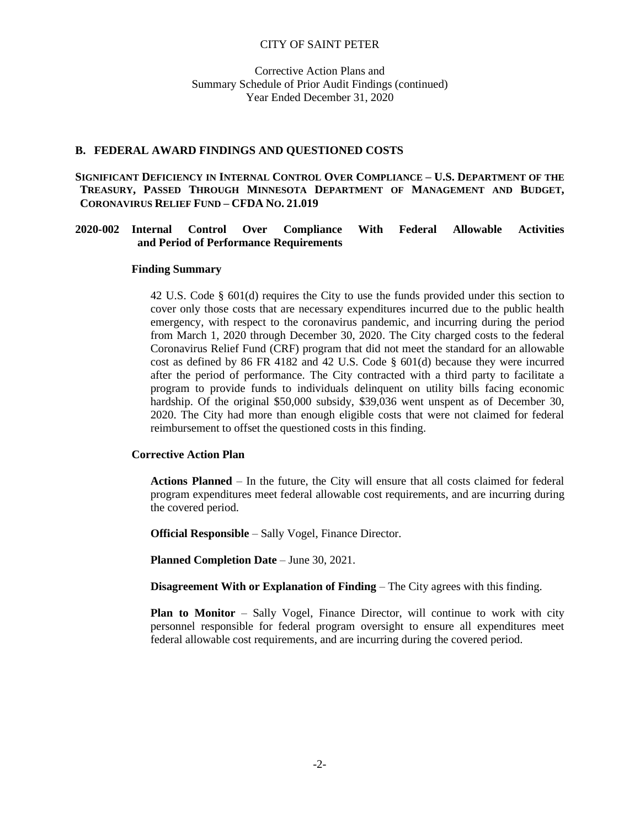Corrective Action Plans and Summary Schedule of Prior Audit Findings (continued) Year Ended December 31, 2020

#### **B. FEDERAL AWARD FINDINGS AND QUESTIONED COSTS**

## **SIGNIFICANT DEFICIENCY IN INTERNAL CONTROL OVER COMPLIANCE – U.S. DEPARTMENT OF THE TREASURY, PASSED THROUGH MINNESOTA DEPARTMENT OF MANAGEMENT AND BUDGET, CORONAVIRUS RELIEF FUND – CFDA NO. 21.019**

## **2020-002 Internal Control Over Compliance With Federal Allowable Activities and Period of Performance Requirements**

#### **Finding Summary**

42 U.S. Code § 601(d) requires the City to use the funds provided under this section to cover only those costs that are necessary expenditures incurred due to the public health emergency, with respect to the coronavirus pandemic, and incurring during the period from March 1, 2020 through December 30, 2020. The City charged costs to the federal Coronavirus Relief Fund (CRF) program that did not meet the standard for an allowable cost as defined by 86 FR 4182 and 42 U.S. Code § 601(d) because they were incurred after the period of performance. The City contracted with a third party to facilitate a program to provide funds to individuals delinquent on utility bills facing economic hardship. Of the original \$50,000 subsidy, \$39,036 went unspent as of December 30, 2020. The City had more than enough eligible costs that were not claimed for federal reimbursement to offset the questioned costs in this finding.

#### **Corrective Action Plan**

**Actions Planned** – In the future, the City will ensure that all costs claimed for federal program expenditures meet federal allowable cost requirements, and are incurring during the covered period.

**Official Responsible** – Sally Vogel, Finance Director.

**Planned Completion Date** – June 30, 2021.

**Disagreement With or Explanation of Finding** – The City agrees with this finding.

**Plan to Monitor** – Sally Vogel, Finance Director, will continue to work with city personnel responsible for federal program oversight to ensure all expenditures meet federal allowable cost requirements, and are incurring during the covered period.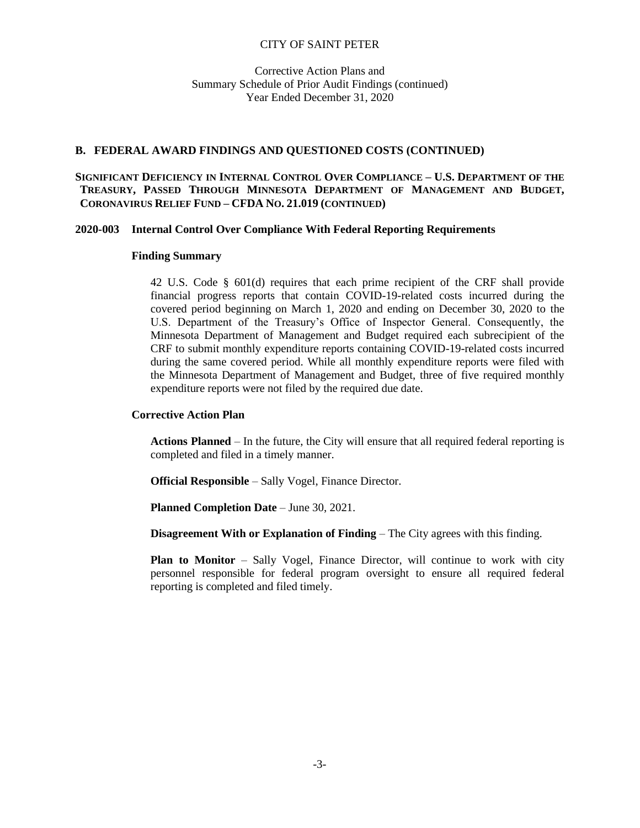Corrective Action Plans and Summary Schedule of Prior Audit Findings (continued) Year Ended December 31, 2020

## **B. FEDERAL AWARD FINDINGS AND QUESTIONED COSTS (CONTINUED)**

## **SIGNIFICANT DEFICIENCY IN INTERNAL CONTROL OVER COMPLIANCE – U.S. DEPARTMENT OF THE TREASURY, PASSED THROUGH MINNESOTA DEPARTMENT OF MANAGEMENT AND BUDGET, CORONAVIRUS RELIEF FUND – CFDA NO. 21.019 (CONTINUED)**

## **2020-003 Internal Control Over Compliance With Federal Reporting Requirements**

### **Finding Summary**

42 U.S. Code § 601(d) requires that each prime recipient of the CRF shall provide financial progress reports that contain COVID-19-related costs incurred during the covered period beginning on March 1, 2020 and ending on December 30, 2020 to the U.S. Department of the Treasury's Office of Inspector General. Consequently, the Minnesota Department of Management and Budget required each subrecipient of the CRF to submit monthly expenditure reports containing COVID-19-related costs incurred during the same covered period. While all monthly expenditure reports were filed with the Minnesota Department of Management and Budget, three of five required monthly expenditure reports were not filed by the required due date.

## **Corrective Action Plan**

**Actions Planned** – In the future, the City will ensure that all required federal reporting is completed and filed in a timely manner.

**Official Responsible** – Sally Vogel, Finance Director.

**Planned Completion Date** – June 30, 2021.

**Disagreement With or Explanation of Finding** – The City agrees with this finding.

**Plan to Monitor** – Sally Vogel, Finance Director, will continue to work with city personnel responsible for federal program oversight to ensure all required federal reporting is completed and filed timely.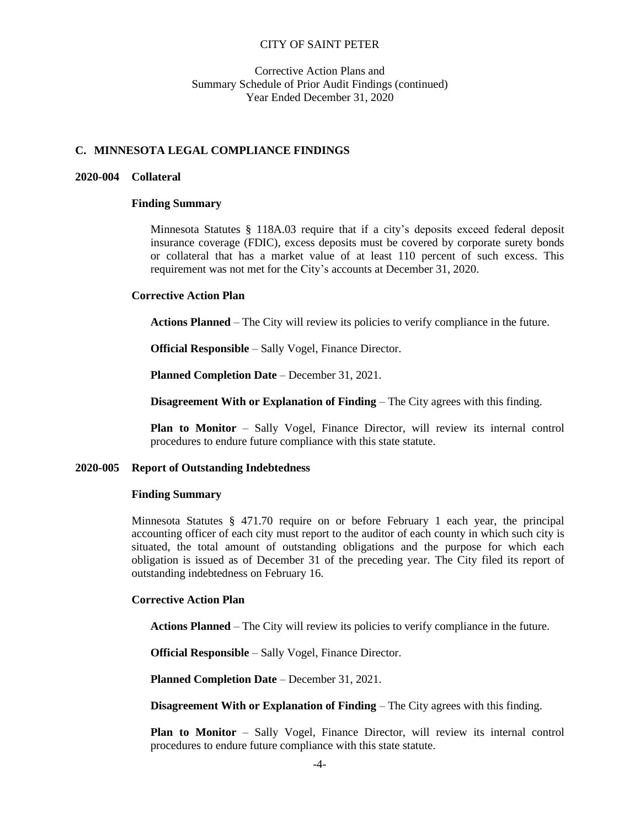## Corrective Action Plans and Summary Schedule of Prior Audit Findings (continued) Year Ended December 31, 2020

## **C. MINNESOTA LEGAL COMPLIANCE FINDINGS**

#### **2020-004 Collateral**

#### **Finding Summary**

Minnesota Statutes § 118A.03 require that if a city's deposits exceed federal deposit insurance coverage (FDIC), excess deposits must be covered by corporate surety bonds or collateral that has a market value of at least 110 percent of such excess. This requirement was not met for the City's accounts at December 31, 2020.

#### **Corrective Action Plan**

**Actions Planned** – The City will review its policies to verify compliance in the future.

**Official Responsible** – Sally Vogel, Finance Director.

**Planned Completion Date** – December 31, 2021.

**Disagreement With or Explanation of Finding** – The City agrees with this finding.

**Plan to Monitor** – Sally Vogel, Finance Director, will review its internal control procedures to endure future compliance with this state statute.

#### **2020-005 Report of Outstanding Indebtedness**

#### **Finding Summary**

Minnesota Statutes § 471.70 require on or before February 1 each year, the principal accounting officer of each city must report to the auditor of each county in which such city is situated, the total amount of outstanding obligations and the purpose for which each obligation is issued as of December 31 of the preceding year. The City filed its report of outstanding indebtedness on February 16.

### **Corrective Action Plan**

**Actions Planned** – The City will review its policies to verify compliance in the future.

**Official Responsible** – Sally Vogel, Finance Director.

**Planned Completion Date** – December 31, 2021.

**Disagreement With or Explanation of Finding** – The City agrees with this finding.

**Plan to Monitor** – Sally Vogel, Finance Director, will review its internal control procedures to endure future compliance with this state statute.